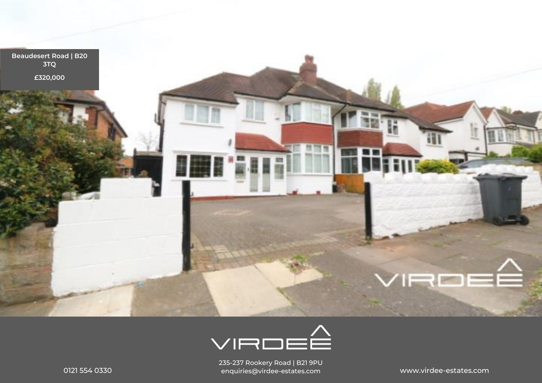



0121 554 0330 www.virdee-estates.com enquiries@virdee-estates.com235-237 Rookery Road | B21 9PU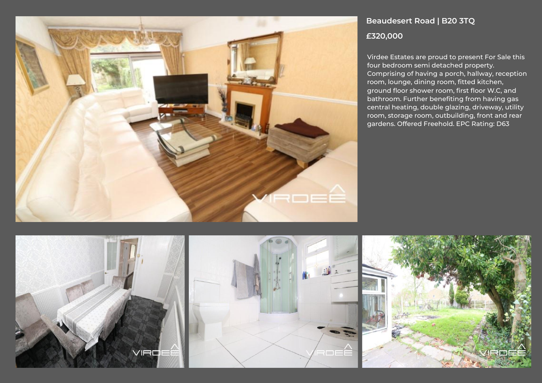

# **Beaudesert Road | B20 3TQ £320,000**

Virdee Estates are proud to present For Sale this four bedroom semi detached property. Comprising of having a porch, hallway, reception room, lounge, dining room, fitted kitchen, ground floor shower room, first floor W.C, and bathroom. Further benefiting from having gas central heating, double glazing, driveway, utility room, storage room, outbuilding, front and rear gardens. Offered Freehold. EPC Rating: D63

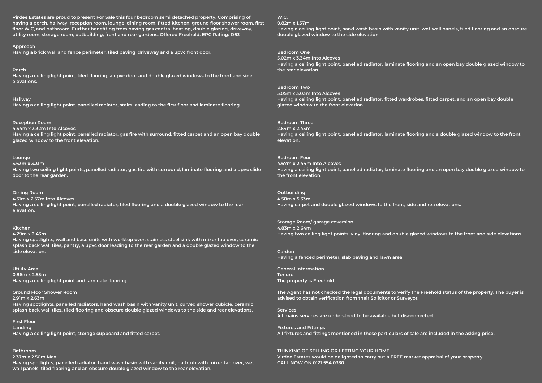**Virdee Estates are proud to present For Sale this four bedroom semi detached property. Comprising of having a porch, hallway, reception room, lounge, dining room, fitted kitchen, ground floor shower room, first floor W.C, and bathroom. Further benefiting from having gas central heating, double glazing, driveway, utility room, storage room, outbuilding, front and rear gardens. Offered Freehold. EPC Rating: D63**

**Approach** 

**elevations.**

**Having a brick wall and fence perimeter, tiled paving, driveway and a upvc front door.**

**Porch Having a ceiling light point, tiled flooring, a upvc door and double glazed windows to the front and side** 

**Hallway Having a ceiling light point, panelled radiator, stairs leading to the first floor and laminate flooring.**

#### **Reception Room**

**4.54m x 3.32m Into Alcoves Having a ceiling light point, panelled radiator, gas fire with surround, fitted carpet and an open bay double glazed window to the front elevation.**

#### **Lounge**

**5.63m x 3.31m** 

**Having two ceiling light points, panelled radiator, gas fire with surround, laminate flooring and a upvc slide door to the rear garden.**

## **Dining Room**

**4.51m x 2.57m Into Alcoves Having a ceiling light point, panelled radiator, tiled flooring and a double glazed window to the rear elevation.**

# **Kitchen**

**4.29m x 2.43m** 

**Having spotlights, wall and base units with worktop over, stainless steel sink with mixer tap over, ceramic splash back wall tiles, pantry, a upvc door leading to the rear garden and a double glazed window to the side elevation.**

**Utility Area 0.86m x 2.55m Having a ceiling light point and laminate flooring.**

**Ground Floor Shower Room** 

**2.91m x 2.63m** 

**Having spotlights, panelled radiators, hand wash basin with vanity unit, curved shower cubicle, ceramic splash back wall tiles, tiled flooring and obscure double glazed windows to the side and rear elevations.**

**First Floor Landing Having a ceiling light point, storage cupboard and fitted carpet.**

# **Bathroom**

**2.37m x 2.50m Max** 

**Having spotlights, panelled radiator, hand wash basin with vanity unit, bathtub with mixer tap over, wet wall panels, tiled flooring and an obscure double glazed window to the rear elevation.**

**W.C. 0.82m x 1.57m** 

**Having a ceiling light point, hand wash basin with vanity unit, wet wall panels, tiled flooring and an obscure double glazed window to the side elevation.**

**Bedroom One** 

**5.02m x 3.34m Into Alcoves Having a ceiling light point, panelled radiator, laminate flooring and an open bay double glazed window to the rear elevation.**

## **Bedroom Two**

**5.05m x 3.03m Into Alcoves Having a ceiling light point, panelled radiator, fitted wardrobes, fitted carpet, and an open bay double glazed window to the front elevation.**

## **Bedroom Three**

**2.64m x 2.45m Having a ceiling light point, panelled radiator, laminate flooring and a double glazed window to the front elevation.**

#### **Bedroom Four**

**4.67m x 2.44m Into Alcoves Having a ceiling light point, panelled radiator, laminate flooring and an open bay double glazed window to the front elevation.**

# **Outbuilding**

**4.50m x 5.33m Having carpet and double glazed windows to the front, side and rea elevations.**

**Storage Room/ garage coversion 4.83m x 2.64m Having two ceiling light points, vinyl flooring and double glazed windows to the front and side elevations.**

**Garden Having a fenced perimeter, slab paving and lawn area.**

**General Information Tenure The property is Freehold.**

**The Agent has not checked the legal documents to verify the Freehold status of the property. The buyer is advised to obtain verification from their Solicitor or Surveyor.**

**Services All mains services are understood to be available but disconnected.**

**Fixtures and Fittings All fixtures and fittings mentioned in these particulars of sale are included in the asking price.**

#### **THINKING OF SELLING OR LETTING YOUR HOME**

**Virdee Estates would be delighted to carry out a FREE market appraisal of your property. CALL NOW ON 0121 554 0330**